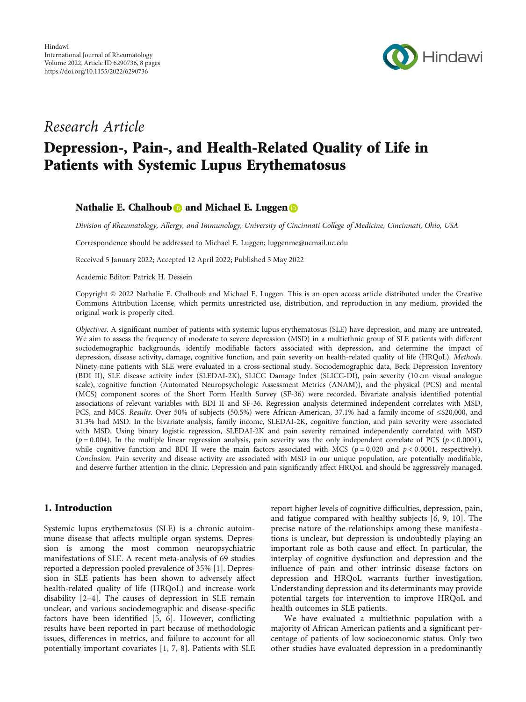

## Research Article

# Depression-, Pain-, and Health-Related Quality of Life in Patients with Systemic Lupus Erythematosus

## Nathalie E. Chalhoub **D** and Michael E. Luggen **D**

Division of Rheumatology, Allergy, and Immunology, University of Cincinnati College of Medicine, Cincinnati, Ohio, USA

Correspondence should be addressed to Michael E. Luggen; luggenme@ucmail.uc.edu

Received 5 January 2022; Accepted 12 April 2022; Published 5 May 2022

Academic Editor: Patrick H. Dessein

Copyright © 2022 Nathalie E. Chalhoub and Michael E. Luggen. This is an open access article distributed under the [Creative](https://creativecommons.org/licenses/by/4.0/) [Commons Attribution License,](https://creativecommons.org/licenses/by/4.0/) which permits unrestricted use, distribution, and reproduction in any medium, provided the original work is properly cited.

Objectives. A significant number of patients with systemic lupus erythematosus (SLE) have depression, and many are untreated. We aim to assess the frequency of moderate to severe depression (MSD) in a multiethnic group of SLE patients with different sociodemographic backgrounds, identify modifiable factors associated with depression, and determine the impact of depression, disease activity, damage, cognitive function, and pain severity on health-related quality of life (HRQoL). Methods. Ninety-nine patients with SLE were evaluated in a cross-sectional study. Sociodemographic data, Beck Depression Inventory (BDI II), SLE disease activity index (SLEDAI-2K), SLICC Damage Index (SLICC-DI), pain severity (10 cm visual analogue scale), cognitive function (Automated Neuropsychologic Assessment Metrics (ANAM)), and the physical (PCS) and mental (MCS) component scores of the Short Form Health Survey (SF-36) were recorded. Bivariate analysis identified potential associations of relevant variables with BDI II and SF-36. Regression analysis determined independent correlates with MSD, PCS, and MCS. Results. Over 50% of subjects (50.5%) were African-American, 37.1% had a family income of ≤\$20,000, and 31.3% had MSD. In the bivariate analysis, family income, SLEDAI-2K, cognitive function, and pain severity were associated with MSD. Using binary logistic regression, SLEDAI-2K and pain severity remained independently correlated with MSD  $(p = 0.004)$ . In the multiple linear regression analysis, pain severity was the only independent correlate of PCS  $(p < 0.0001)$ , while cognitive function and BDI II were the main factors associated with MCS ( $p = 0.020$  and  $p < 0.0001$ , respectively). Conclusion. Pain severity and disease activity are associated with MSD in our unique population, are potentially modifiable, and deserve further attention in the clinic. Depression and pain significantly affect HRQoL and should be aggressively managed.

### 1. Introduction

Systemic lupus erythematosus (SLE) is a chronic autoimmune disease that affects multiple organ systems. Depression is among the most common neuropsychiatric manifestations of SLE. A recent meta-analysis of 69 studies reported a depression pooled prevalence of 35% [\[1](#page-5-0)]. Depression in SLE patients has been shown to adversely affect health-related quality of life (HRQoL) and increase work disability [\[2](#page-5-0)–[4](#page-5-0)]. The causes of depression in SLE remain unclear, and various sociodemographic and disease-specific factors have been identified  $[5, 6]$  $[5, 6]$  $[5, 6]$ . However, conflicting results have been reported in part because of methodologic issues, differences in metrics, and failure to account for all potentially important covariates [\[1](#page-5-0), [7](#page-5-0), [8\]](#page-6-0). Patients with SLE

report higher levels of cognitive difficulties, depression, pain, and fatigue compared with healthy subjects [\[6](#page-5-0), [9, 10](#page-6-0)]. The precise nature of the relationships among these manifestations is unclear, but depression is undoubtedly playing an important role as both cause and effect. In particular, the interplay of cognitive dysfunction and depression and the influence of pain and other intrinsic disease factors on depression and HRQoL warrants further investigation. Understanding depression and its determinants may provide potential targets for intervention to improve HRQoL and health outcomes in SLE patients.

We have evaluated a multiethnic population with a majority of African American patients and a significant percentage of patients of low socioeconomic status. Only two other studies have evaluated depression in a predominantly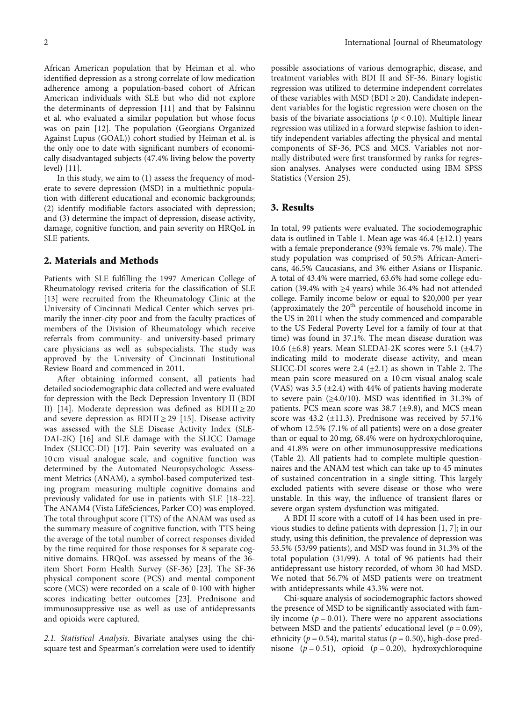African American population that by Heiman et al. who identified depression as a strong correlate of low medication adherence among a population-based cohort of African American individuals with SLE but who did not explore the determinants of depression [\[11\]](#page-6-0) and that by Falsinnu et al. who evaluated a similar population but whose focus was on pain [\[12\]](#page-6-0). The population (Georgians Organized Against Lupus (GOAL)) cohort studied by Heiman et al. is the only one to date with significant numbers of economically disadvantaged subjects (47.4% living below the poverty level) [[11](#page-6-0)].

In this study, we aim to (1) assess the frequency of moderate to severe depression (MSD) in a multiethnic population with different educational and economic backgrounds; (2) identify modifiable factors associated with depression; and (3) determine the impact of depression, disease activity, damage, cognitive function, and pain severity on HRQoL in SLE patients.

#### 2. Materials and Methods

Patients with SLE fulfilling the 1997 American College of Rheumatology revised criteria for the classification of SLE [\[13](#page-6-0)] were recruited from the Rheumatology Clinic at the University of Cincinnati Medical Center which serves primarily the inner-city poor and from the faculty practices of members of the Division of Rheumatology which receive referrals from community- and university-based primary care physicians as well as subspecialists. The study was approved by the University of Cincinnati Institutional Review Board and commenced in 2011.

After obtaining informed consent, all patients had detailed sociodemographic data collected and were evaluated for depression with the Beck Depression Inventory II (BDI II) [\[14](#page-6-0)]. Moderate depression was defined as BDI II  $\geq$  20 and severe depression as BDI II  $\geq$  29 [[15](#page-6-0)]. Disease activity was assessed with the SLE Disease Activity Index (SLE-DAI-2K) [\[16\]](#page-6-0) and SLE damage with the SLICC Damage Index (SLICC-DI) [[17](#page-6-0)]. Pain severity was evaluated on a 10 cm visual analogue scale, and cognitive function was determined by the Automated Neuropsychologic Assessment Metrics (ANAM), a symbol-based computerized testing program measuring multiple cognitive domains and previously validated for use in patients with SLE [\[18](#page-6-0)–[22](#page-6-0)]. The ANAM4 (Vista LifeSciences, Parker CO) was employed. The total throughput score (TTS) of the ANAM was used as the summary measure of cognitive function, with TTS being the average of the total number of correct responses divided by the time required for those responses for 8 separate cognitive domains. HRQoL was assessed by means of the 36 item Short Form Health Survey (SF-36) [[23](#page-6-0)]. The SF-36 physical component score (PCS) and mental component score (MCS) were recorded on a scale of 0-100 with higher scores indicating better outcomes [[23](#page-6-0)]. Prednisone and immunosuppressive use as well as use of antidepressants and opioids were captured.

2.1. Statistical Analysis. Bivariate analyses using the chisquare test and Spearman's correlation were used to identify

possible associations of various demographic, disease, and treatment variables with BDI II and SF-36. Binary logistic regression was utilized to determine independent correlates of these variables with MSD (BDI  $\geq$  20). Candidate independent variables for the logistic regression were chosen on the basis of the bivariate associations ( $p < 0.10$ ). Multiple linear regression was utilized in a forward stepwise fashion to identify independent variables affecting the physical and mental components of SF-36, PCS and MCS. Variables not normally distributed were first transformed by ranks for regression analyses. Analyses were conducted using IBM SPSS Statistics (Version 25).

#### 3. Results

In total, 99 patients were evaluated. The sociodemographic data is outlined in Table [1](#page-2-0). Mean age was  $46.4$  ( $\pm$ 12.1) years with a female preponderance (93% female vs. 7% male). The study population was comprised of 50.5% African-Americans, 46.5% Caucasians, and 3% either Asians or Hispanic. A total of 43.4% were married, 63.6% had some college education (39.4% with ≥4 years) while 36.4% had not attended college. Family income below or equal to \$20,000 per year (approximately the 20th percentile of household income in the US in 2011 when the study commenced and comparable to the US Federal Poverty Level for a family of four at that time) was found in 37.1%. The mean disease duration was 10.6 ( $\pm$ 6.8) years. Mean SLEDAI-2K scores were 5.1 ( $\pm$ 4.7) indicating mild to moderate disease activity, and mean SLICC-DI scores were  $2.4$  ( $\pm 2.1$  $\pm 2.1$  $\pm 2.1$ ) as shown in Table 2. The mean pain score measured on a 10 cm visual analog scale (VAS) was 3.5  $(\pm 2.4)$  with 44% of patients having moderate to severe pain (≥4.0/10). MSD was identified in 31.3% of patients. PCS mean score was  $38.7$  ( $\pm$ 9.8), and MCS mean score was  $43.2$  ( $\pm$ 11.3). Prednisone was received by 57.1% of whom 12.5% (7.1% of all patients) were on a dose greater than or equal to 20 mg, 68.4% were on hydroxychloroquine, and 41.8% were on other immunosuppressive medications (Table [2](#page-2-0)). All patients had to complete multiple questionnaires and the ANAM test which can take up to 45 minutes of sustained concentration in a single sitting. This largely excluded patients with severe disease or those who were unstable. In this way, the influence of transient flares or severe organ system dysfunction was mitigated.

A BDI II score with a cutoff of 14 has been used in previous studies to define patients with depression [\[1, 7](#page-5-0)]; in our study, using this definition, the prevalence of depression was 53.5% (53/99 patients), and MSD was found in 31.3% of the total population (31/99). A total of 96 patients had their antidepressant use history recorded, of whom 30 had MSD. We noted that 56.7% of MSD patients were on treatment with antidepressants while 43.3% were not.

Chi-square analysis of sociodemographic factors showed the presence of MSD to be significantly associated with family income  $(p = 0.01)$ . There were no apparent associations between MSD and the patients' educational level ( $p = 0.09$ ), ethnicity ( $p = 0.54$ ), marital status ( $p = 0.50$ ), high-dose prednisone  $(p = 0.51)$ , opioid  $(p = 0.20)$ , hydroxychloroquine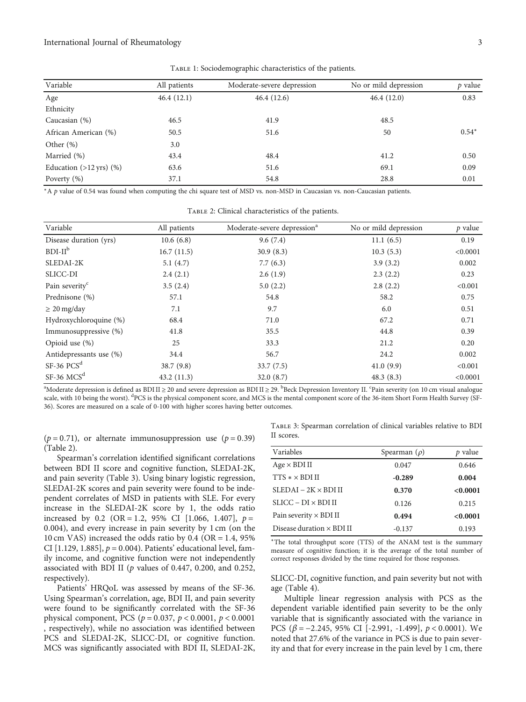<span id="page-2-0"></span>

| Variable                             | All patients | Moderate-severe depression | No or mild depression | $p$ value |
|--------------------------------------|--------------|----------------------------|-----------------------|-----------|
| Age                                  | 46.4(12.1)   | 46.4(12.6)                 | 46.4(12.0)            | 0.83      |
| Ethnicity                            |              |                            |                       |           |
| Caucasian (%)                        | 46.5         | 41.9                       | 48.5                  |           |
| African American (%)                 | 50.5         | 51.6                       | 50                    | $0.54*$   |
| Other $(\%)$                         | 3.0          |                            |                       |           |
| Married (%)                          | 43.4         | 48.4                       | 41.2                  | 0.50      |
| Education $(>12 \text{ yrs})$ $(\%)$ | 63.6         | 51.6                       | 69.1                  | 0.09      |
| Poverty $(\%)$                       | 37.1         | 54.8                       | 28.8                  | 0.01      |

Table 1: Sociodemographic characteristics of the patients.

<sup>∗</sup>A *p* value of 0.54 was found when computing the chi square test of MSD vs. non-MSD in Caucasian vs. non-Caucasian patients.

| Variable                   | All patients | Moderate-severe depression <sup>a</sup> | No or mild depression | $p$ value |
|----------------------------|--------------|-----------------------------------------|-----------------------|-----------|
| Disease duration (yrs)     | 10.6(6.8)    | 9.6(7.4)                                | 11.1(6.5)             | 0.19      |
| $BDI-IIb$                  | 16.7(11.5)   | 30.9(8.3)                               | 10.3(5.3)             | < 0.0001  |
| SLEDAI-2K                  | 5.1 $(4.7)$  | 7.7(6.3)                                | 3.9(3.2)              | 0.002     |
| SLICC-DI                   | 2.4(2.1)     | 2.6(1.9)                                | 2.3(2.2)              | 0.23      |
| Pain severity <sup>c</sup> | 3.5(2.4)     | 5.0(2.2)                                | 2.8(2.2)              | < 0.001   |
| Prednisone (%)             | 57.1         | 54.8                                    | 58.2                  | 0.75      |
| $\geq 20$ mg/day           | 7.1          | 9.7                                     | 6.0                   | 0.51      |
| Hydroxychloroquine (%)     | 68.4         | 71.0                                    | 67.2                  | 0.71      |
| Immunosuppressive (%)      | 41.8         | 35.5                                    | 44.8                  | 0.39      |
| Opioid use $(\%)$          | 25           | 33.3                                    | 21.2                  | 0.20      |
| Antidepressants use (%)    | 34.4         | 56.7                                    | 24.2                  | 0.002     |
| $SF-36$ $PCSd$             | 38.7(9.8)    | 33.7(7.5)                               | 41.0(9.9)             | < 0.001   |
| $SF-36 MCSd$               | 43.2(11.3)   | 32.0(8.7)                               | 48.3(8.3)             | < 0.0001  |

Table 2: Clinical characteristics of the patients.

 $^{\rm a}$ Moderate depression is defined as BDI II ≥ 20 and severe depression as BDI II ≥ 29.  $^{\rm b}$ Beck Depression Inventory II. <sup>c</sup>Pain severity (on 10 cm visual analogue scale, with 10 being the worst). <sup>d</sup>PCS is the physical component score, and MCS is the mental component score of the 36-item Short Form Health Survey (SF-36). Scores are measured on a scale of 0-100 with higher scores having better outcomes.

 $(p = 0.71)$ , or alternate immunosuppression use  $(p = 0.39)$ (Table 2).

Spearman's correlation identified significant correlations between BDI II score and cognitive function, SLEDAI-2K, and pain severity (Table 3). Using binary logistic regression, SLEDAI-2K scores and pain severity were found to be independent correlates of MSD in patients with SLE. For every increase in the SLEDAI-2K score by 1, the odds ratio increased by 0.2 (OR = 1*:*2, 95% CI [1.066, 1.407], *p* = 0*:*004), and every increase in pain severity by 1 cm (on the 10 cm VAS) increased the odds ratio by 0.4 (OR = 1*:*4, 95% CI [1.129, 1.885], *p* = 0*:*004). Patients' educational level, family income, and cognitive function were not independently associated with BDI II (*p* values of 0.447, 0.200, and 0.252, respectively).

Patients' HRQoL was assessed by means of the SF-36. Using Spearman's correlation, age, BDI II, and pain severity were found to be significantly correlated with the SF-36 physical component, PCS (*p* = 0*:*037, *p* < 0*:*0001, *p* < 0*:*0001 , respectively), while no association was identified between PCS and SLEDAI-2K, SLICC-DI, or cognitive function. MCS was significantly associated with BDI II, SLEDAI-2K,

Table 3: Spearman correlation of clinical variables relative to BDI II scores.

| Variables                        | Spearman $(\rho)$ | p value  |
|----------------------------------|-------------------|----------|
| $Age \times BDI II$              | 0.047             | 0.646    |
| $TTS \times \times BDIII$        | $-0.289$          | 0.004    |
| $SLEDAI - 2K \times BDIII$       | 0.370             | < 0.0001 |
| $SLICC-DI\times BDIII$           | 0.126             | 0.215    |
| Pain severity $\times$ BDI II    | 0.494             | < 0.0001 |
| Disease duration $\times$ BDI II | $-0.137$          | 0.193    |

<sup>∗</sup>The total throughput score (TTS) of the ANAM test is the summary measure of cognitive function; it is the average of the total number of correct responses divided by the time required for those responses.

SLICC-DI, cognitive function, and pain severity but not with age (Table [4\)](#page-3-0).

Multiple linear regression analysis with PCS as the dependent variable identified pain severity to be the only variable that is significantly associated with the variance in PCS (*β* = −2*:*245, 95% CI [-2.991, -1.499], *p* < 0*:*0001). We noted that 27.6% of the variance in PCS is due to pain severity and that for every increase in the pain level by 1 cm, there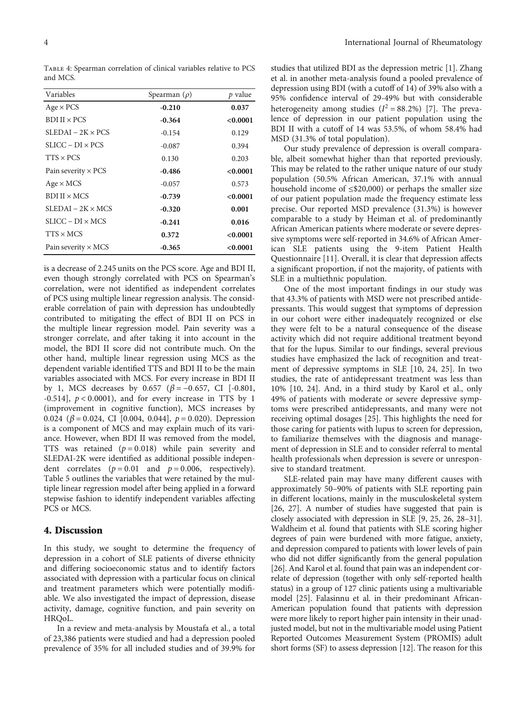<span id="page-3-0"></span>Table 4: Spearman correlation of clinical variables relative to PCS and MCS.

| Variables                  | Spearman $(\rho)$ | p value  |
|----------------------------|-------------------|----------|
| $Age \times PCS$           | $-0.210$          | 0.037    |
| $BDI II \times PCS$        | $-0.364$          | < 0.0001 |
| $SLEDAI - 2K \times PCS$   | $-0.154$          | 0.129    |
| $SLICC-DI\times PCS$       | $-0.087$          | 0.394    |
| $TTS \times PCS$           | 0.130             | 0.203    |
| Pain severity $\times$ PCS | $-0.486$          | < 0.0001 |
| $Age \times MCS$           | $-0.057$          | 0.573    |
| $BDIII \times MCS$         | $-0.739$          | < 0.0001 |
| $SLEDAI - 2K \times MCS$   | $-0.320$          | 0.001    |
| $SLICC-DI \times MCS$      | $-0.241$          | 0.016    |
| $TTS \times MCS$           | 0.372             | < 0.0001 |
| Pain severity $\times$ MCS | $-0.365$          | < 0.0001 |

is a decrease of 2.245 units on the PCS score. Age and BDI II, even though strongly correlated with PCS on Spearman's correlation, were not identified as independent correlates of PCS using multiple linear regression analysis. The considerable correlation of pain with depression has undoubtedly contributed to mitigating the effect of BDI II on PCS in the multiple linear regression model. Pain severity was a stronger correlate, and after taking it into account in the model, the BDI II score did not contribute much. On the other hand, multiple linear regression using MCS as the dependent variable identified TTS and BDI II to be the main variables associated with MCS. For every increase in BDI II by 1, MCS decreases by 0.657 (*β* = −0*:*657, CI [-0.801, -0.514], *p* < 0*:*0001), and for every increase in TTS by 1 (improvement in cognitive function), MCS increases by 0.024 (*β* = 0*:*024, CI [0.004, 0.044], *p* = 0*:*020). Depression is a component of MCS and may explain much of its variance. However, when BDI II was removed from the model, TTS was retained (*p* = 0*:*018) while pain severity and SLEDAI-2K were identified as additional possible independent correlates  $(p = 0.01$  and  $p = 0.006$ , respectively). Table [5](#page-4-0) outlines the variables that were retained by the multiple linear regression model after being applied in a forward stepwise fashion to identify independent variables affecting PCS or MCS.

#### 4. Discussion

In this study, we sought to determine the frequency of depression in a cohort of SLE patients of diverse ethnicity and differing socioeconomic status and to identify factors associated with depression with a particular focus on clinical and treatment parameters which were potentially modifiable. We also investigated the impact of depression, disease activity, damage, cognitive function, and pain severity on HRQoL.

In a review and meta-analysis by Moustafa et al., a total of 23,386 patients were studied and had a depression pooled prevalence of 35% for all included studies and of 39.9% for

studies that utilized BDI as the depression metric [\[1](#page-5-0)]. Zhang et al. in another meta-analysis found a pooled prevalence of depression using BDI (with a cutoff of 14) of 39% also with a 95% confidence interval of 29-49% but with considerable heterogeneity among studies  $(I^2 = 88.2\%)$  [\[7\]](#page-5-0). The prevalence of depression in our patient population using the BDI II with a cutoff of 14 was 53.5%, of whom 58.4% had MSD (31.3% of total population).

Our study prevalence of depression is overall comparable, albeit somewhat higher than that reported previously. This may be related to the rather unique nature of our study population (50.5% African American, 37.1% with annual household income of  $\leq$ \$20,000) or perhaps the smaller size of our patient population made the frequency estimate less precise. Our reported MSD prevalence (31.3%) is however comparable to a study by Heiman et al. of predominantly African American patients where moderate or severe depressive symptoms were self-reported in 34.6% of African American SLE patients using the 9-item Patient Health Questionnaire [[11](#page-6-0)]. Overall, it is clear that depression affects a significant proportion, if not the majority, of patients with SLE in a multiethnic population.

One of the most important findings in our study was that 43.3% of patients with MSD were not prescribed antidepressants. This would suggest that symptoms of depression in our cohort were either inadequately recognized or else they were felt to be a natural consequence of the disease activity which did not require additional treatment beyond that for the lupus. Similar to our findings, several previous studies have emphasized the lack of recognition and treatment of depressive symptoms in SLE [[10](#page-6-0), [24, 25\]](#page-6-0). In two studies, the rate of antidepressant treatment was less than 10% [[10](#page-6-0), [24\]](#page-6-0). And, in a third study by Karol et al., only 49% of patients with moderate or severe depressive symptoms were prescribed antidepressants, and many were not receiving optimal dosages [\[25\]](#page-6-0). This highlights the need for those caring for patients with lupus to screen for depression, to familiarize themselves with the diagnosis and management of depression in SLE and to consider referral to mental health professionals when depression is severe or unresponsive to standard treatment.

SLE-related pain may have many different causes with approximately 50–90% of patients with SLE reporting pain in different locations, mainly in the musculoskeletal system [\[26, 27](#page-6-0)]. A number of studies have suggested that pain is closely associated with depression in SLE [[9](#page-6-0), [25](#page-6-0), [26](#page-6-0), [28](#page-6-0)–[31](#page-6-0)]. Waldheim et al. found that patients with SLE scoring higher degrees of pain were burdened with more fatigue, anxiety, and depression compared to patients with lower levels of pain who did not differ significantly from the general population [\[26\]](#page-6-0). And Karol et al. found that pain was an independent correlate of depression (together with only self-reported health status) in a group of 127 clinic patients using a multivariable model [\[25\]](#page-6-0). Falasinnu et al. in their predominant African-American population found that patients with depression were more likely to report higher pain intensity in their unadjusted model, but not in the multivariable model using Patient Reported Outcomes Measurement System (PROMIS) adult short forms (SF) to assess depression [[12](#page-6-0)]. The reason for this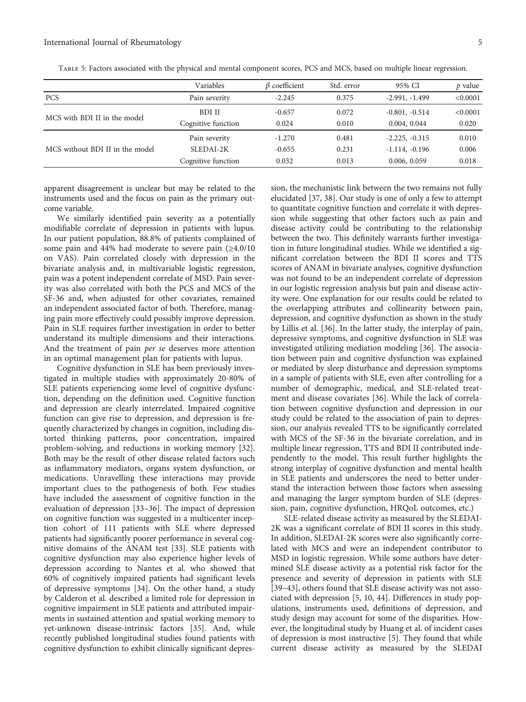|                                 | Variables          | $\beta$ coefficient | Std. error | 95% CI           | p value  |
|---------------------------------|--------------------|---------------------|------------|------------------|----------|
| <b>PCS</b>                      | Pain severity      | $-2.245$            | 0.375      | $-2.991, -1.499$ | < 0.0001 |
| MCS with BDI II in the model    | BDI II             | $-0.657$            | 0.072      | $-0.801, -0.514$ | < 0.0001 |
|                                 | Cognitive function | 0.024               | 0.010      | 0.004, 0.044     | 0.020    |
| MCS without BDI II in the model | Pain severity      | $-1.270$            | 0.481      | $-2.225, -0.315$ | 0.010    |
|                                 | SLEDAI-2K          | $-0.655$            | 0.231      | $-1.114, -0.196$ | 0.006    |
|                                 | Cognitive function | 0.032               | 0.013      | 0.006, 0.059     | 0.018    |

<span id="page-4-0"></span>Table 5: Factors associated with the physical and mental component scores, PCS and MCS, based on multiple linear regression.

apparent disagreement is unclear but may be related to the instruments used and the focus on pain as the primary outcome variable.

We similarly identified pain severity as a potentially modifiable correlate of depression in patients with lupus. In our patient population, 88.8% of patients complained of some pain and 44% had moderate to severe pain (≥4.0/10 on VAS). Pain correlated closely with depression in the bivariate analysis and, in multivariable logistic regression, pain was a potent independent correlate of MSD. Pain severity was also correlated with both the PCS and MCS of the SF-36 and, when adjusted for other covariates, remained an independent associated factor of both. Therefore, managing pain more effectively could possibly improve depression. Pain in SLE requires further investigation in order to better understand its multiple dimensions and their interactions. And the treatment of pain per se deserves more attention in an optimal management plan for patients with lupus.

Cognitive dysfunction in SLE has been previously investigated in multiple studies with approximately 20-80% of SLE patients experiencing some level of cognitive dysfunction, depending on the definition used. Cognitive function and depression are clearly interrelated. Impaired cognitive function can give rise to depression, and depression is frequently characterized by changes in cognition, including distorted thinking patterns, poor concentration, impaired problem-solving, and reductions in working memory [[32](#page-6-0)]. Both may be the result of other disease related factors such as inflammatory mediators, organs system dysfunction, or medications. Unravelling these interactions may provide important clues to the pathogenesis of both. Few studies have included the assessment of cognitive function in the evaluation of depression [[33](#page-6-0)–[36](#page-6-0)]. The impact of depression on cognitive function was suggested in a multicenter inception cohort of 111 patients with SLE where depressed patients had significantly poorer performance in several cognitive domains of the ANAM test [[33](#page-6-0)]. SLE patients with cognitive dysfunction may also experience higher levels of depression according to Nantes et al. who showed that 60% of cognitively impaired patients had significant levels of depressive symptoms [\[34\]](#page-6-0). On the other hand, a study by Calderon et al. described a limited role for depression in cognitive impairment in SLE patients and attributed impairments in sustained attention and spatial working memory to yet-unknown disease-intrinsic factors [\[35\]](#page-6-0). And, while recently published longitudinal studies found patients with cognitive dysfunction to exhibit clinically significant depres-

sion, the mechanistic link between the two remains not fully elucidated [\[37](#page-6-0), [38](#page-7-0)]. Our study is one of only a few to attempt to quantitate cognitive function and correlate it with depression while suggesting that other factors such as pain and disease activity could be contributing to the relationship between the two. This definitely warrants further investigation in future longitudinal studies. While we identified a significant correlation between the BDI II scores and TTS scores of ANAM in bivariate analyses, cognitive dysfunction was not found to be an independent correlate of depression in our logistic regression analysis but pain and disease activity were. One explanation for our results could be related to the overlapping attributes and collinearity between pain, depression, and cognitive dysfunction as shown in the study by Lillis et al. [\[36\]](#page-6-0). In the latter study, the interplay of pain, depressive symptoms, and cognitive dysfunction in SLE was investigated utilizing mediation modeling [\[36\]](#page-6-0). The association between pain and cognitive dysfunction was explained or mediated by sleep disturbance and depression symptoms in a sample of patients with SLE, even after controlling for a number of demographic, medical, and SLE-related treatment and disease covariates [[36](#page-6-0)]. While the lack of correlation between cognitive dysfunction and depression in our study could be related to the association of pain to depression, our analysis revealed TTS to be significantly correlated with MCS of the SF-36 in the bivariate correlation, and in multiple linear regression, TTS and BDI II contributed independently to the model. This result further highlights the strong interplay of cognitive dysfunction and mental health in SLE patients and underscores the need to better understand the interaction between those factors when assessing and managing the larger symptom burden of SLE (depression, pain, cognitive dysfunction, HRQoL outcomes, etc.)

SLE-related disease activity as measured by the SLEDAI-2K was a significant correlate of BDI II scores in this study. In addition, SLEDAI-2K scores were also significantly correlated with MCS and were an independent contributor to MSD in logistic regression. While some authors have determined SLE disease activity as a potential risk factor for the presence and severity of depression in patients with SLE [\[39](#page-7-0)–[43\]](#page-7-0), others found that SLE disease activity was not associated with depression [\[5,](#page-5-0) [10,](#page-6-0) [44](#page-7-0)]. Differences in study populations, instruments used, definitions of depression, and study design may account for some of the disparities. However, the longitudinal study by Huang et al. of incident cases of depression is most instructive [\[5](#page-5-0)]. They found that while current disease activity as measured by the SLEDAI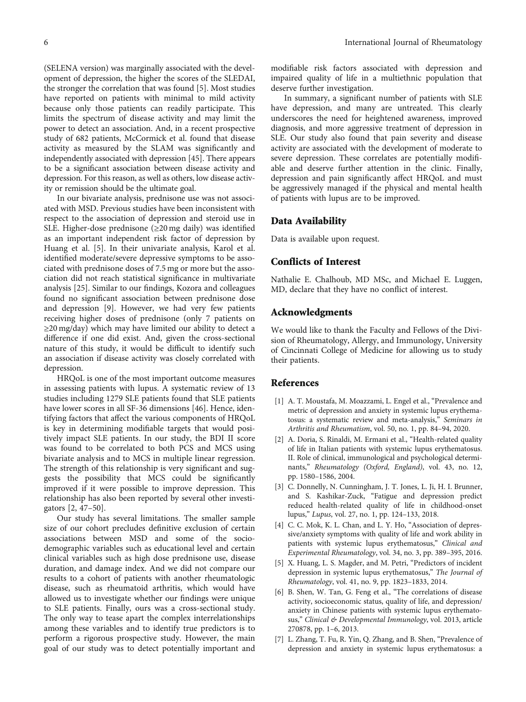<span id="page-5-0"></span>(SELENA version) was marginally associated with the development of depression, the higher the scores of the SLEDAI, the stronger the correlation that was found [5]. Most studies have reported on patients with minimal to mild activity because only those patients can readily participate. This limits the spectrum of disease activity and may limit the power to detect an association. And, in a recent prospective study of 682 patients, McCormick et al. found that disease activity as measured by the SLAM was significantly and independently associated with depression [\[45](#page-7-0)]. There appears to be a significant association between disease activity and depression. For this reason, as well as others, low disease activity or remission should be the ultimate goal.

In our bivariate analysis, prednisone use was not associated with MSD. Previous studies have been inconsistent with respect to the association of depression and steroid use in SLE. Higher-dose prednisone (≥20 mg daily) was identified as an important independent risk factor of depression by Huang et al. [5]. In their univariate analysis, Karol et al. identified moderate/severe depressive symptoms to be associated with prednisone doses of 7.5 mg or more but the association did not reach statistical significance in multivariate analysis [\[25\]](#page-6-0). Similar to our findings, Kozora and colleagues found no significant association between prednisone dose and depression [[9\]](#page-6-0). However, we had very few patients receiving higher doses of prednisone (only 7 patients on ≥20 mg/day) which may have limited our ability to detect a difference if one did exist. And, given the cross-sectional nature of this study, it would be difficult to identify such an association if disease activity was closely correlated with depression.

HRQoL is one of the most important outcome measures in assessing patients with lupus. A systematic review of 13 studies including 1279 SLE patients found that SLE patients have lower scores in all SF-36 dimensions [\[46\]](#page-7-0). Hence, identifying factors that affect the various components of HRQoL is key in determining modifiable targets that would positively impact SLE patients. In our study, the BDI II score was found to be correlated to both PCS and MCS using bivariate analysis and to MCS in multiple linear regression. The strength of this relationship is very significant and suggests the possibility that MCS could be significantly improved if it were possible to improve depression. This relationship has also been reported by several other investigators [2, [47](#page-7-0)–[50](#page-7-0)].

Our study has several limitations. The smaller sample size of our cohort precludes definitive exclusion of certain associations between MSD and some of the sociodemographic variables such as educational level and certain clinical variables such as high dose prednisone use, disease duration, and damage index. And we did not compare our results to a cohort of patients with another rheumatologic disease, such as rheumatoid arthritis, which would have allowed us to investigate whether our findings were unique to SLE patients. Finally, ours was a cross-sectional study. The only way to tease apart the complex interrelationships among these variables and to identify true predictors is to perform a rigorous prospective study. However, the main goal of our study was to detect potentially important and

modifiable risk factors associated with depression and impaired quality of life in a multiethnic population that deserve further investigation.

In summary, a significant number of patients with SLE have depression, and many are untreated. This clearly underscores the need for heightened awareness, improved diagnosis, and more aggressive treatment of depression in SLE. Our study also found that pain severity and disease activity are associated with the development of moderate to severe depression. These correlates are potentially modifiable and deserve further attention in the clinic. Finally, depression and pain significantly affect HRQoL and must be aggressively managed if the physical and mental health of patients with lupus are to be improved.

#### Data Availability

Data is available upon request.

#### Conflicts of Interest

Nathalie E. Chalhoub, MD MSc, and Michael E. Luggen, MD, declare that they have no conflict of interest.

#### Acknowledgments

We would like to thank the Faculty and Fellows of the Division of Rheumatology, Allergy, and Immunology, University of Cincinnati College of Medicine for allowing us to study their patients.

#### References

- [1] A. T. Moustafa, M. Moazzami, L. Engel et al., "Prevalence and metric of depression and anxiety in systemic lupus erythematosus: a systematic review and meta-analysis," Seminars in Arthritis and Rheumatism, vol. 50, no. 1, pp. 84–94, 2020.
- [2] A. Doria, S. Rinaldi, M. Ermani et al., "Health-related quality of life in Italian patients with systemic lupus erythematosus. II. Role of clinical, immunological and psychological determinants," Rheumatology (Oxford, England), vol. 43, no. 12, pp. 1580–1586, 2004.
- [3] C. Donnelly, N. Cunningham, J. T. Jones, L. Ji, H. I. Brunner, and S. Kashikar-Zuck, "Fatigue and depression predict reduced health-related quality of life in childhood-onset lupus," Lupus, vol. 27, no. 1, pp. 124–133, 2018.
- [4] C. C. Mok, K. L. Chan, and L. Y. Ho, "Association of depressive/anxiety symptoms with quality of life and work ability in patients with systemic lupus erythematosus," Clinical and Experimental Rheumatology, vol. 34, no. 3, pp. 389–395, 2016.
- [5] X. Huang, L. S. Magder, and M. Petri, "Predictors of incident depression in systemic lupus erythematosus," The Journal of Rheumatology, vol. 41, no. 9, pp. 1823–1833, 2014.
- [6] B. Shen, W. Tan, G. Feng et al., "The correlations of disease activity, socioeconomic status, quality of life, and depression/ anxiety in Chinese patients with systemic lupus erythematosus," Clinical & Developmental Immunology, vol. 2013, article 270878, pp. 1–6, 2013.
- [7] L. Zhang, T. Fu, R. Yin, Q. Zhang, and B. Shen, "Prevalence of depression and anxiety in systemic lupus erythematosus: a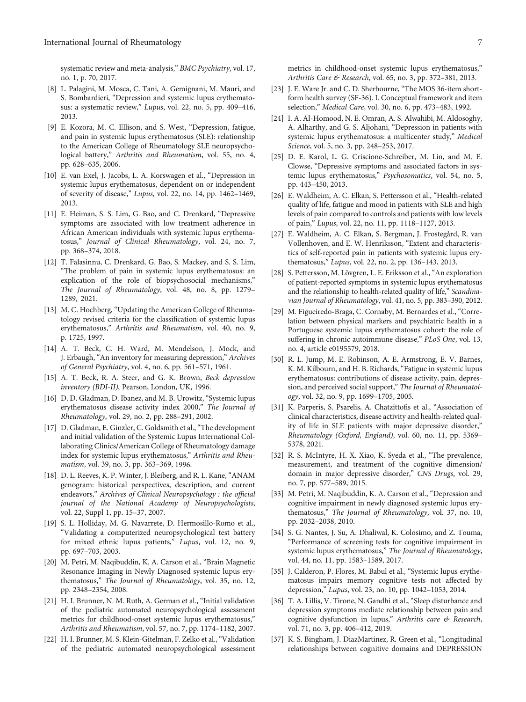<span id="page-6-0"></span>systematic review and meta-analysis," BMC Psychiatry, vol. 17, no. 1, p. 70, 2017.

- [8] L. Palagini, M. Mosca, C. Tani, A. Gemignani, M. Mauri, and S. Bombardieri, "Depression and systemic lupus erythematosus: a systematic review," Lupus, vol. 22, no. 5, pp. 409–416, 2013.
- [9] E. Kozora, M. C. Ellison, and S. West, "Depression, fatigue, and pain in systemic lupus erythematosus (SLE): relationship to the American College of Rheumatology SLE neuropsychological battery," Arthritis and Rheumatism, vol. 55, no. 4, pp. 628–635, 2006.
- [10] E. van Exel, J. Jacobs, L. A. Korswagen et al., "Depression in systemic lupus erythematosus, dependent on or independent of severity of disease," Lupus, vol. 22, no. 14, pp. 1462–1469, 2013.
- [11] E. Heiman, S. S. Lim, G. Bao, and C. Drenkard, "Depressive symptoms are associated with low treatment adherence in African American individuals with systemic lupus erythematosus," Journal of Clinical Rheumatology, vol. 24, no. 7, pp. 368–374, 2018.
- [12] T. Falasinnu, C. Drenkard, G. Bao, S. Mackey, and S. S. Lim, "The problem of pain in systemic lupus erythematosus: an explication of the role of biopsychosocial mechanisms," The Journal of Rheumatology, vol. 48, no. 8, pp. 1279– 1289, 2021.
- [13] M. C. Hochberg, "Updating the American College of Rheumatology revised criteria for the classification of systemic lupus erythematosus," Arthritis and Rheumatism, vol. 40, no. 9, p. 1725, 1997.
- [14] A. T. Beck, C. H. Ward, M. Mendelson, J. Mock, and J. Erbaugh, "An inventory for measuring depression," Archives of General Psychiatry, vol. 4, no. 6, pp. 561–571, 1961.
- [15] A. T. Beck, R. A. Steer, and G. K. Brown, Beck depression inventory (BDI-II), Pearson, London, UK, 1996.
- [16] D. D. Gladman, D. Ibanez, and M. B. Urowitz, "Systemic lupus erythematosus disease activity index 2000," The Journal of Rheumatology, vol. 29, no. 2, pp. 288–291, 2002.
- [17] D. Gladman, E. Ginzler, C. Goldsmith et al., "The development and initial validation of the Systemic Lupus International Collaborating Clinics/American College of Rheumatology damage index for systemic lupus erythematosus," Arthritis and Rheumatism, vol. 39, no. 3, pp. 363–369, 1996.
- [18] D. L. Reeves, K. P. Winter, J. Bleiberg, and R. L. Kane, "ANAM genogram: historical perspectives, description, and current endeavors," Archives of Clinical Neuropsychology : the official journal of the National Academy of Neuropsychologists, vol. 22, Suppl 1, pp. 15–37, 2007.
- [19] S. L. Holliday, M. G. Navarrete, D. Hermosillo-Romo et al., "Validating a computerized neuropsychological test battery for mixed ethnic lupus patients," Lupus, vol. 12, no. 9, pp. 697–703, 2003.
- [20] M. Petri, M. Naqibuddin, K. A. Carson et al., "Brain Magnetic Resonance Imaging in Newly Diagnosed systemic lupus erythematosus," The Journal of Rheumatology, vol. 35, no. 12, pp. 2348–2354, 2008.
- [21] H. I. Brunner, N. M. Ruth, A. German et al., "Initial validation of the pediatric automated neuropsychological assessment metrics for childhood-onset systemic lupus erythematosus," Arthritis and Rheumatism, vol. 57, no. 7, pp. 1174–1182, 2007.
- [22] H. I. Brunner, M. S. Klein-Gitelman, F. Zelko et al.,"Validation of the pediatric automated neuropsychological assessment

metrics in childhood-onset systemic lupus erythematosus," Arthritis Care & Research, vol. 65, no. 3, pp. 372–381, 2013.

- [23] J. E. Ware Jr. and C. D. Sherbourne, "The MOS 36-item shortform health survey (SF-36). I. Conceptual framework and item selection," Medical Care, vol. 30, no. 6, pp. 473–483, 1992.
- [24] I. A. Al-Homood, N. E. Omran, A. S. Alwahibi, M. Aldosoghy, A. Alharthy, and G. S. Aljohani, "Depression in patients with systemic lupus erythematosus: a multicenter study," Medical Science, vol. 5, no. 3, pp. 248–253, 2017.
- [25] D. E. Karol, L. G. Criscione-Schreiber, M. Lin, and M. E. Clowse, "Depressive symptoms and associated factors in systemic lupus erythematosus," Psychosomatics, vol. 54, no. 5, pp. 443–450, 2013.
- [26] E. Waldheim, A. C. Elkan, S. Pettersson et al., "Health-related quality of life, fatigue and mood in patients with SLE and high levels of pain compared to controls and patients with low levels of pain," Lupus, vol. 22, no. 11, pp. 1118–1127, 2013.
- [27] E. Waldheim, A. C. Elkan, S. Bergman, J. Frostegård, R. van Vollenhoven, and E. W. Henriksson, "Extent and characteristics of self-reported pain in patients with systemic lupus erythematosus," Lupus, vol. 22, no. 2, pp. 136–143, 2013.
- [28] S. Pettersson, M. Lövgren, L. E. Eriksson et al., "An exploration of patient-reported symptoms in systemic lupus erythematosus and the relationship to health-related quality of life," Scandinavian Journal of Rheumatology, vol. 41, no. 5, pp. 383–390, 2012.
- [29] M. Figueiredo-Braga, C. Cornaby, M. Bernardes et al., "Correlation between physical markers and psychiatric health in a Portuguese systemic lupus erythematosus cohort: the role of suffering in chronic autoimmune disease," PLoS One, vol. 13, no. 4, article e0195579, 2018.
- [30] R. L. Jump, M. E. Robinson, A. E. Armstrong, E. V. Barnes, K. M. Kilbourn, and H. B. Richards, "Fatigue in systemic lupus erythematosus: contributions of disease activity, pain, depression, and perceived social support," The Journal of Rheumatology, vol. 32, no. 9, pp. 1699–1705, 2005.
- [31] K. Parperis, S. Psarelis, A. Chatzittofis et al., "Association of clinical characteristics, disease activity and health-related quality of life in SLE patients with major depressive disorder," Rheumatology (Oxford, England), vol. 60, no. 11, pp. 5369– 5378, 2021.
- [32] R. S. McIntyre, H. X. Xiao, K. Syeda et al., "The prevalence, measurement, and treatment of the cognitive dimension/ domain in major depressive disorder," CNS Drugs, vol. 29, no. 7, pp. 577–589, 2015.
- [33] M. Petri, M. Naqibuddin, K. A. Carson et al., "Depression and cognitive impairment in newly diagnosed systemic lupus erythematosus," The Journal of Rheumatology, vol. 37, no. 10, pp. 2032–2038, 2010.
- [34] S. G. Nantes, J. Su, A. Dhaliwal, K. Colosimo, and Z. Touma, "Performance of screening tests for cognitive impairment in systemic lupus erythematosus," The Journal of Rheumatology, vol. 44, no. 11, pp. 1583–1589, 2017.
- [35] J. Calderon, P. Flores, M. Babul et al., "Systemic lupus erythematosus impairs memory cognitive tests not affected by depression," Lupus, vol. 23, no. 10, pp. 1042–1053, 2014.
- [36] T. A. Lillis, V. Tirone, N. Gandhi et al., "Sleep disturbance and depression symptoms mediate relationship between pain and cognitive dysfunction in lupus," Arthritis care & Research, vol. 71, no. 3, pp. 406–412, 2019.
- [37] K. S. Bingham, J. DiazMartinez, R. Green et al., "Longitudinal relationships between cognitive domains and DEPRESSION